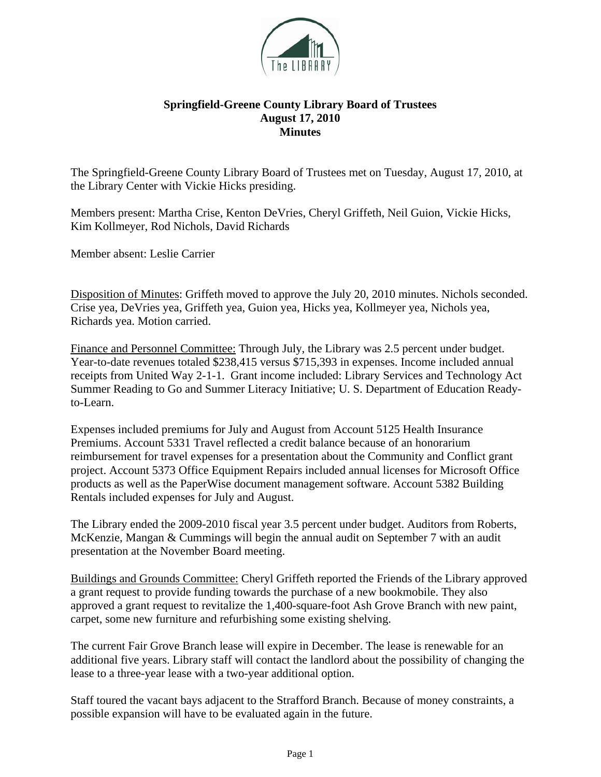

## **Springfield-Greene County Library Board of Trustees August 17, 2010 Minutes**

The Springfield-Greene County Library Board of Trustees met on Tuesday, August 17, 2010, at the Library Center with Vickie Hicks presiding.

Members present: Martha Crise, Kenton DeVries, Cheryl Griffeth, Neil Guion, Vickie Hicks, Kim Kollmeyer, Rod Nichols, David Richards

Member absent: Leslie Carrier

Disposition of Minutes: Griffeth moved to approve the July 20, 2010 minutes. Nichols seconded. Crise yea, DeVries yea, Griffeth yea, Guion yea, Hicks yea, Kollmeyer yea, Nichols yea, Richards yea. Motion carried.

Finance and Personnel Committee: Through July, the Library was 2.5 percent under budget. Year-to-date revenues totaled \$238,415 versus \$715,393 in expenses. Income included annual receipts from United Way 2-1-1. Grant income included: Library Services and Technology Act Summer Reading to Go and Summer Literacy Initiative; U. S. Department of Education Readyto-Learn.

Expenses included premiums for July and August from Account 5125 Health Insurance Premiums. Account 5331 Travel reflected a credit balance because of an honorarium reimbursement for travel expenses for a presentation about the Community and Conflict grant project. Account 5373 Office Equipment Repairs included annual licenses for Microsoft Office products as well as the PaperWise document management software. Account 5382 Building Rentals included expenses for July and August.

The Library ended the 2009-2010 fiscal year 3.5 percent under budget. Auditors from Roberts, McKenzie, Mangan & Cummings will begin the annual audit on September 7 with an audit presentation at the November Board meeting.

Buildings and Grounds Committee: Cheryl Griffeth reported the Friends of the Library approved a grant request to provide funding towards the purchase of a new bookmobile. They also approved a grant request to revitalize the 1,400-square-foot Ash Grove Branch with new paint, carpet, some new furniture and refurbishing some existing shelving.

The current Fair Grove Branch lease will expire in December. The lease is renewable for an additional five years. Library staff will contact the landlord about the possibility of changing the lease to a three-year lease with a two-year additional option.

Staff toured the vacant bays adjacent to the Strafford Branch. Because of money constraints, a possible expansion will have to be evaluated again in the future.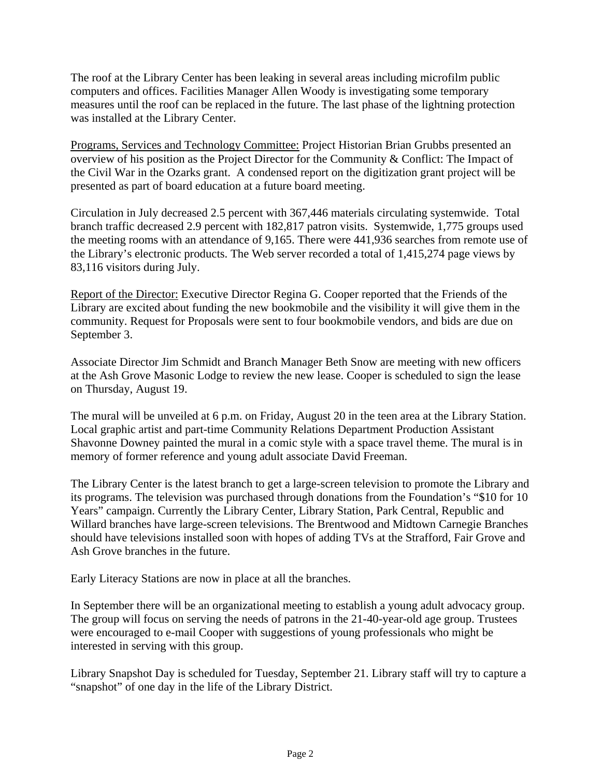The roof at the Library Center has been leaking in several areas including microfilm public computers and offices. Facilities Manager Allen Woody is investigating some temporary measures until the roof can be replaced in the future. The last phase of the lightning protection was installed at the Library Center.

Programs, Services and Technology Committee: Project Historian Brian Grubbs presented an overview of his position as the Project Director for the Community & Conflict: The Impact of the Civil War in the Ozarks grant. A condensed report on the digitization grant project will be presented as part of board education at a future board meeting.

Circulation in July decreased 2.5 percent with 367,446 materials circulating systemwide. Total branch traffic decreased 2.9 percent with 182,817 patron visits. Systemwide, 1,775 groups used the meeting rooms with an attendance of 9,165. There were 441,936 searches from remote use of the Library's electronic products. The Web server recorded a total of 1,415,274 page views by 83,116 visitors during July.

Report of the Director: Executive Director Regina G. Cooper reported that the Friends of the Library are excited about funding the new bookmobile and the visibility it will give them in the community. Request for Proposals were sent to four bookmobile vendors, and bids are due on September 3.

Associate Director Jim Schmidt and Branch Manager Beth Snow are meeting with new officers at the Ash Grove Masonic Lodge to review the new lease. Cooper is scheduled to sign the lease on Thursday, August 19.

The mural will be unveiled at 6 p.m. on Friday, August 20 in the teen area at the Library Station. Local graphic artist and part-time Community Relations Department Production Assistant Shavonne Downey painted the mural in a comic style with a space travel theme. The mural is in memory of former reference and young adult associate David Freeman.

The Library Center is the latest branch to get a large-screen television to promote the Library and its programs. The television was purchased through donations from the Foundation's "\$10 for 10 Years" campaign. Currently the Library Center, Library Station, Park Central, Republic and Willard branches have large-screen televisions. The Brentwood and Midtown Carnegie Branches should have televisions installed soon with hopes of adding TVs at the Strafford, Fair Grove and Ash Grove branches in the future.

Early Literacy Stations are now in place at all the branches.

In September there will be an organizational meeting to establish a young adult advocacy group. The group will focus on serving the needs of patrons in the 21-40-year-old age group. Trustees were encouraged to e-mail Cooper with suggestions of young professionals who might be interested in serving with this group.

Library Snapshot Day is scheduled for Tuesday, September 21. Library staff will try to capture a "snapshot" of one day in the life of the Library District.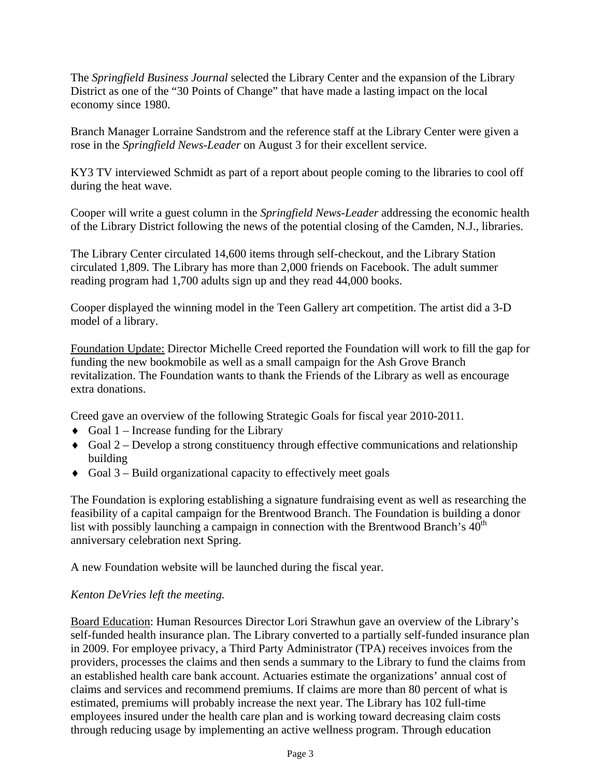The *Springfield Business Journal* selected the Library Center and the expansion of the Library District as one of the "30 Points of Change" that have made a lasting impact on the local economy since 1980.

Branch Manager Lorraine Sandstrom and the reference staff at the Library Center were given a rose in the *Springfield News-Leader* on August 3 for their excellent service.

KY3 TV interviewed Schmidt as part of a report about people coming to the libraries to cool off during the heat wave.

Cooper will write a guest column in the *Springfield News-Leader* addressing the economic health of the Library District following the news of the potential closing of the Camden, N.J., libraries.

The Library Center circulated 14,600 items through self-checkout, and the Library Station circulated 1,809. The Library has more than 2,000 friends on Facebook. The adult summer reading program had 1,700 adults sign up and they read 44,000 books.

Cooper displayed the winning model in the Teen Gallery art competition. The artist did a 3-D model of a library.

Foundation Update: Director Michelle Creed reported the Foundation will work to fill the gap for funding the new bookmobile as well as a small campaign for the Ash Grove Branch revitalization. The Foundation wants to thank the Friends of the Library as well as encourage extra donations.

Creed gave an overview of the following Strategic Goals for fiscal year 2010-2011.

- $\triangleleft$  Goal 1 Increase funding for the Library
- $\bullet$  Goal 2 Develop a strong constituency through effective communications and relationship building
- $\bullet$  Goal 3 Build organizational capacity to effectively meet goals

The Foundation is exploring establishing a signature fundraising event as well as researching the feasibility of a capital campaign for the Brentwood Branch. The Foundation is building a donor list with possibly launching a campaign in connection with the Brentwood Branch's  $40<sup>th</sup>$ anniversary celebration next Spring.

A new Foundation website will be launched during the fiscal year.

## *Kenton DeVries left the meeting.*

Board Education: Human Resources Director Lori Strawhun gave an overview of the Library's self-funded health insurance plan. The Library converted to a partially self-funded insurance plan in 2009. For employee privacy, a Third Party Administrator (TPA) receives invoices from the providers, processes the claims and then sends a summary to the Library to fund the claims from an established health care bank account. Actuaries estimate the organizations' annual cost of claims and services and recommend premiums. If claims are more than 80 percent of what is estimated, premiums will probably increase the next year. The Library has 102 full-time employees insured under the health care plan and is working toward decreasing claim costs through reducing usage by implementing an active wellness program. Through education